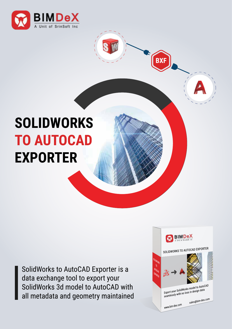

## **SOLIDWORKS TO AUTOCAD EXPORTER**

SolidWorks to AutoCAD Exporter is a data exchange tool to export your SolidWorks 3d model to AutoCAD with all metadata and geometry maintained



**BXF**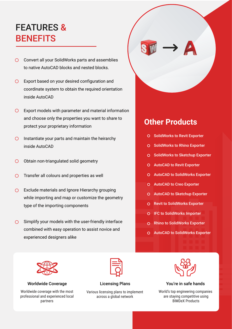## FEATURES & **BENEFITS**

- Convert all your SolidWorks parts and assemblies to native AutoCAD blocks and nested blocks.
- Export based on your desired configuration and coordinate system to obtain the required orientation inside AutoCAD
- $\bigcirc$  Export models with parameter and material information and choose only the properties you want to share to protect your proprietary information
- $\bigcirc$  Instantiate your parts and maintain the heirarchy inside AutoCAD
- Obtain non-triangulated solid geometry $\bigcap$
- $\bigcirc$  Transfer all colours and properties as well
- ◯ Exclude materials and Ignore Hierarchy grouping while importing and map or customize the geometry type of the importing components
- $\overline{O}$ Simplify your models with the user-friendly interface combined with easy operation to assist novice and experienced designers alike

### **Other Products**

- O SolidWorks to Revit Exporter
- O SolidWorks to Rhino Exporter
- O SolidWorks to Sketchup Exporter
- AutoCAD to Revit Exporter
- AutoCAD to SolidWorks Exporter
- AutoCAD to Creo Exporter
- AutoCAD to Sketchup Exporter
- Revit to SolidWorks Exporter
- IFC to SolidWorks Importer
- Rhino to SolidWorks Exporter
- AutoCAD to SolidWorks Exporter



Worldwide Coverage The Licensing Plans The South You're in safe hands

Worldwide coverage with the most professional and experienced local partners



Various licensing plans to implement across a global network



World's top engineering companies are staying competitive using BIMDeX Products